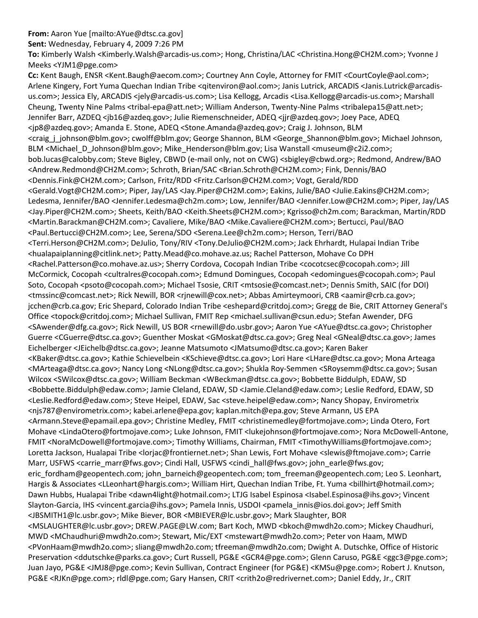**From:** Aaron Yue [mailto:AYue@dtsc.ca.gov]

**Sent:** Wednesday, February 4, 2009 7:26 PM

**To:** Kimberly Walsh <Kimberly.Walsh@arcadis‐us.com>; Hong, Christina/LAC <Christina.Hong@CH2M.com>; Yvonne J Meeks <YJM1@pge.com>

**Cc:** Kent Baugh, ENSR <Kent.Baugh@aecom.com>; Courtney Ann Coyle, Attorney for FMIT <CourtCoyle@aol.com>; Arlene Kingery, Fort Yuma Quechan Indian Tribe <qitenviron@aol.com>; Janis Lutrick, ARCADIS <Janis.Lutrick@arcadis‐ us.com>; Jessica Ely, ARCADIS <jely@arcadis‐us.com>; Lisa Kellogg, Arcadis <Lisa.Kellogg@arcadis‐us.com>; Marshall Cheung, Twenty Nine Palms <tribal‐epa@att.net>; William Anderson, Twenty‐Nine Palms <tribalepa15@att.net>; Jennifer Barr, AZDEQ <jb16@azdeq.gov>; Julie Riemenschneider, ADEQ <jjr@azdeq.gov>; Joey Pace, ADEQ <jp8@azdeq.gov>; Amanda E. Stone, ADEQ <Stone.Amanda@azdeq.gov>; Craig J. Johnson, BLM <craig\_j\_johnson@blm.gov>; cwolff@blm.gov; George Shannon, BLM <George\_Shannon@blm.gov>; Michael Johnson, BLM <Michael\_D\_Johnson@blm.gov>; Mike\_Henderson@blm.gov; Lisa Wanstall <museum@c2i2.com>; bob.lucas@calobby.com; Steve Bigley, CBWD (e‐mail only, not on CWG) <sbigley@cbwd.org>; Redmond, Andrew/BAO <Andrew.Redmond@CH2M.com>; Schroth, Brian/SAC <Brian.Schroth@CH2M.com>; Fink, Dennis/BAO <Dennis.Fink@CH2M.com>; Carlson, Fritz/RDD <Fritz.Carlson@CH2M.com>; Vogt, Gerald/RDD <Gerald.Vogt@CH2M.com>; Piper, Jay/LAS <Jay.Piper@CH2M.com>; Eakins, Julie/BAO <Julie.Eakins@CH2M.com>; Ledesma, Jennifer/BAO <Jennifer.Ledesma@ch2m.com>; Low, Jennifer/BAO <Jennifer.Low@CH2M.com>; Piper, Jay/LAS <Jay.Piper@CH2M.com>; Sheets, Keith/BAO <Keith.Sheets@CH2M.com>; Kgrisso@ch2m.com; Barackman, Martin/RDD <Martin.Barackman@CH2M.com>; Cavaliere, Mike/BAO <Mike.Cavaliere@CH2M.com>; Bertucci, Paul/BAO <Paul.Bertucci@CH2M.com>; Lee, Serena/SDO <Serena.Lee@ch2m.com>; Herson, Terri/BAO <Terri.Herson@CH2M.com>; DeJulio, Tony/RIV <Tony.DeJulio@CH2M.com>; Jack Ehrhardt, Hulapai Indian Tribe <hualapaiplanning@citlink.net>; Patty.Mead@co.mohave.az.us; Rachel Patterson, Mohave Co DPH <Rachel.Patterson@co.mohave.az.us>; Sherry Cordova, Cocopah Indian Tribe <cocotcsec@cocopah.com>; Jill McCormick, Cocopah <cultralres@cocopah.com>; Edmund Domingues, Cocopah <edomingues@cocopah.com>; Paul Soto, Cocopah <psoto@cocopah.com>; Michael Tsosie, CRIT <mtsosie@comcast.net>; Dennis Smith, SAIC (for DOI) <tmssinc@comcast.net>; Rick Newill, BOR <rjnewill@cox.net>; Abbas Amirteymoori, CRB <aamir@crb.ca.gov>; jcchen@crb.ca.gov; Eric Shepard, Colorado Indian Tribe <eshepard@critdoj.com>; Gregg de Bie, CRIT Attorney General's Office <topock@critdoj.com>; Michael Sullivan, FMIT Rep <michael.sullivan@csun.edu>; Stefan Awender, DFG <SAwender@dfg.ca.gov>; Rick Newill, US BOR <rnewill@do.usbr.gov>; Aaron Yue <AYue@dtsc.ca.gov>; Christopher Guerre <CGuerre@dtsc.ca.gov>; Guenther Moskat <GMoskat@dtsc.ca.gov>; Greg Neal <GNeal@dtsc.ca.gov>; James Eichelberger <JEichelb@dtsc.ca.gov>; Jeanne Matsumoto <JMatsumo@dtsc.ca.gov>; Karen Baker <KBaker@dtsc.ca.gov>; Kathie Schievelbein <KSchieve@dtsc.ca.gov>; Lori Hare <LHare@dtsc.ca.gov>; Mona Arteaga <MArteaga@dtsc.ca.gov>; Nancy Long <NLong@dtsc.ca.gov>; Shukla Roy‐Semmen <SRoysemm@dtsc.ca.gov>; Susan Wilcox <SWilcox@dtsc.ca.gov>; William Beckman <WBeckman@dtsc.ca.gov>; Bobbette Biddulph, EDAW, SD <Bobbette.Biddulph@edaw.com>; Jamie Cleland, EDAW, SD <Jamie.Cleland@edaw.com>; Leslie Redford, EDAW, SD <Leslie.Redford@edaw.com>; Steve Heipel, EDAW, Sac <steve.heipel@edaw.com>; Nancy Shopay, Envirometrix <njs787@envirometrix.com>; kabei.arlene@epa.gov; kaplan.mitch@epa.gov; Steve Armann, US EPA <Armann.Steve@epamail.epa.gov>; Christine Medley, FMIT <christinemedley@fortmojave.com>; Linda Otero, Fort Mohave <LindaOtero@fortmojave.com>; Luke Johnson, FMIT <lukejohnson@fortmojave.com>; Nora McDowell‐Antone, FMIT <NoraMcDowell@fortmojave.com>; Timothy Williams, Chairman, FMIT <TimothyWilliams@fortmojave.com>; Loretta Jackson, Hualapai Tribe <lorjac@frontiernet.net>; Shan Lewis, Fort Mohave <slewis@ftmojave.com>; Carrie Marr, USFWS <carrie\_marr@fws.gov>; Cindi Hall, USFWS <cindi\_hall@fws.gov>; john\_earle@fws.gov; eric\_fordham@geopentech.com; john\_barneich@geopentech.com; tom\_freeman@geopentech.com; Leo S. Leonhart, Hargis & Associates <LLeonhart@hargis.com>; William Hirt, Quechan Indian Tribe, Ft. Yuma <billhirt@hotmail.com>; Dawn Hubbs, Hualapai Tribe <dawn4light@hotmail.com>; LTJG Isabel Espinosa <Isabel.Espinosa@ihs.gov>; Vincent Slayton-Garcia, IHS <vincent.garcia@ihs.gov>; Pamela Innis, USDOI <pamela innis@ios.doi.gov>; Jeff Smith <JBSMITH1@lc.usbr.gov>; Mike Biever, BOR <MBIEVER@lc.usbr.gov>; Mark Slaughter, BOR <MSLAUGHTER@lc.usbr.gov>; DREW.PAGE@LW.com; Bart Koch, MWD <br/>bkoch@mwdh2o.com>; Mickey Chaudhuri, MWD <MChaudhuri@mwdh2o.com>; Stewart, Mic/EXT <mstewart@mwdh2o.com>; Peter von Haam, MWD <PVonHaam@mwdh2o.com>; sliang@mwdh2o.com; tfreeman@mwdh2o.com; Dwight A. Dutschke, Office of Historic Preservation <ddutschke@parks.ca.gov>; Curt Russell, PG&E <GCR4@pge.com>; Glenn Caruso, PG&E <ggc3@pge.com>; Juan Jayo, PG&E <JMJ8@pge.com>; Kevin Sullivan, Contract Engineer (for PG&E) <KMSu@pge.com>; Robert J. Knutson, PG&E <RJKn@pge.com>; rldl@pge.com; Gary Hansen, CRIT <crith2o@redrivernet.com>; Daniel Eddy, Jr., CRIT